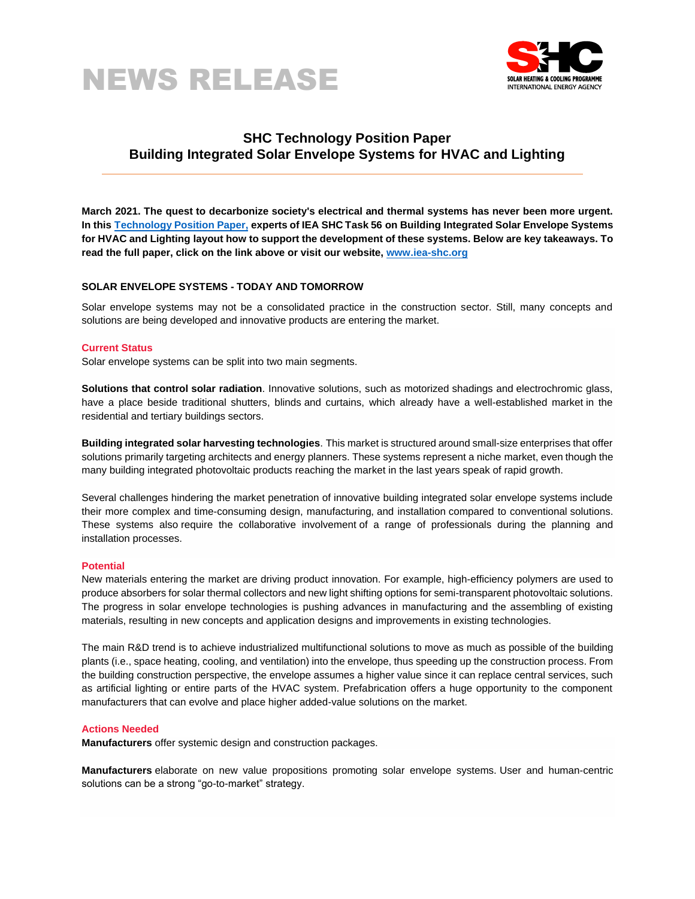



# **SHC Technology Position Paper Building Integrated Solar Envelope Systems for HVAC and Lighting**

**March 2021. The quest to decarbonize society's electrical and thermal systems has never been more urgent. In this [Technology Position Paper](https://task56.iea-shc.org/Data/Sites/1/publications/IEA-SHC-Technology-Position-Paper--Building-Integrated-Solar-Envelope-Systems-for-HVAC-and-Lighting--May2020.pdf)[,](https://www.iea-shc.org/Data/Sites/1/publications/IEA-SHC-Task60-PVT-Technology-Position-Paper.pdf) experts of IEA SHC Task 56 on Building Integrated Solar Envelope Systems for HVAC and Lighting layout how to support the development of these systems. Below are key takeaways. To read the full paper, click on the link above or visit our website, [www.iea-shc.org](http://www.iea-shc.org/)**

# **SOLAR ENVELOPE SYSTEMS - TODAY AND TOMORROW**

Solar envelope systems may not be a consolidated practice in the construction sector. Still, many concepts and solutions are being developed and innovative products are entering the market.

## **Current Status**

Solar envelope systems can be split into two main segments.

**Solutions that control solar radiation**. Innovative solutions, such as motorized shadings and electrochromic glass, have a place beside traditional shutters, blinds and curtains, which already have a well-established market in the residential and tertiary buildings sectors.

**Building integrated solar harvesting technologies**. This market is structured around small-size enterprises that offer solutions primarily targeting architects and energy planners. These systems represent a niche market, even though the many building integrated photovoltaic products reaching the market in the last years speak of rapid growth.

Several challenges hindering the market penetration of innovative building integrated solar envelope systems include their more complex and time-consuming design, manufacturing, and installation compared to conventional solutions. These systems also require the collaborative involvement of a range of professionals during the planning and installation processes.

## **Potential**

New materials entering the market are driving product innovation. For example, high-efficiency polymers are used to produce absorbers for solar thermal collectors and new light shifting options for semi-transparent photovoltaic solutions. The progress in solar envelope technologies is pushing advances in manufacturing and the assembling of existing materials, resulting in new concepts and application designs and improvements in existing technologies.

The main R&D trend is to achieve industrialized multifunctional solutions to move as much as possible of the building plants (i.e., space heating, cooling, and ventilation) into the envelope, thus speeding up the construction process. From the building construction perspective, the envelope assumes a higher value since it can replace central services, such as artificial lighting or entire parts of the HVAC system. Prefabrication offers a huge opportunity to the component manufacturers that can evolve and place higher added-value solutions on the market.

# **Actions Needed**

**Manufacturers** offer systemic design and construction packages.

**Manufacturers** elaborate on new value propositions promoting solar envelope systems. User and human-centric solutions can be a strong "go-to-market" strategy.